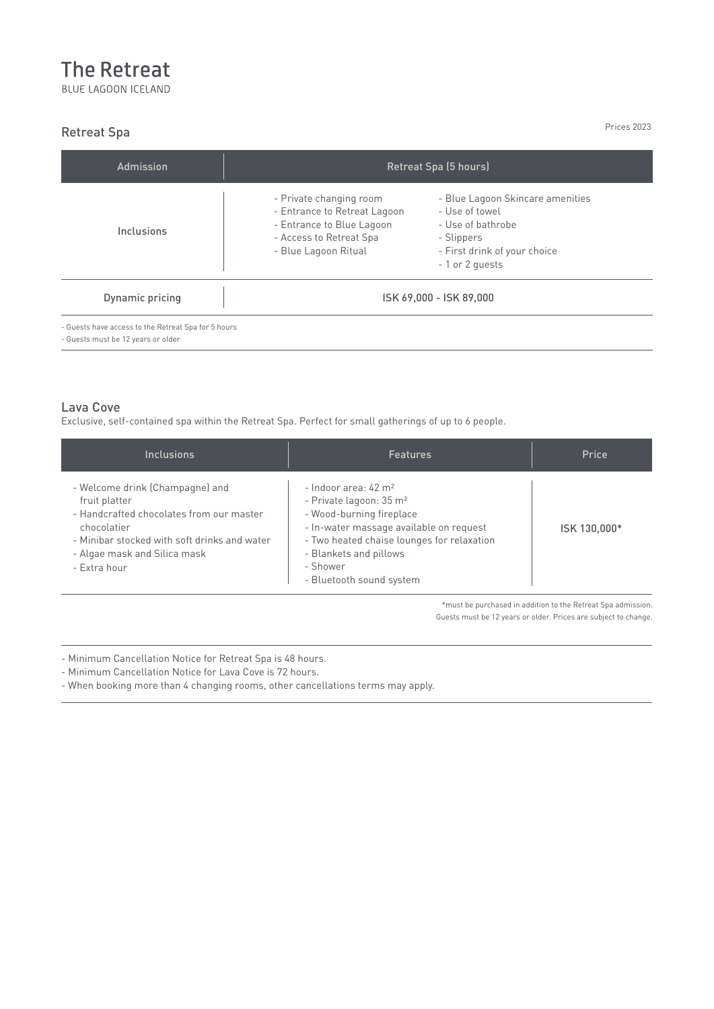## **The Retreat**

BLUE LAGOON ICELAND

## Retreat Spa

Prices 2023

Prices are for one night.

| Admission                                           | Retreat Spa (5 hours)                                                                                                                   |                                                                                                                                          |  |
|-----------------------------------------------------|-----------------------------------------------------------------------------------------------------------------------------------------|------------------------------------------------------------------------------------------------------------------------------------------|--|
| Inclusions                                          | - Private changing room<br>- Entrance to Retreat Lagoon<br>- Entrance to Blue Lagoon<br>- Access to Retreat Spa<br>- Blue Lagoon Ritual | - Blue Lagoon Skincare amenities<br>- Use of towel<br>- Use of bathrobe<br>- Slippers<br>- First drink of your choice<br>- 1 or 2 quests |  |
| Dynamic pricing                                     | ISK 69,000 - ISK 89,000                                                                                                                 |                                                                                                                                          |  |
| - Guests have access to the Retreat Spa for 5 hours |                                                                                                                                         |                                                                                                                                          |  |

the Silica Deluxe rooms. This is because these rooms have

- Guests must be 12 years or older

All rooms at Silica Hotel are for two adults and one child

## Lava Cove

wellbeing.

 $\text{Lava}$  cove Exclusive, self-contained spa within the Retreat Spa. Perfect for small gatherings of up to 6 people.

| <b>Inclusions</b>                                                                                                                                                                                           | <b>Features</b>                                                                                                                                                                                                                                               | Price        |
|-------------------------------------------------------------------------------------------------------------------------------------------------------------------------------------------------------------|---------------------------------------------------------------------------------------------------------------------------------------------------------------------------------------------------------------------------------------------------------------|--------------|
| - Welcome drink (Champagne) and<br>fruit platter<br>- Handcrafted chocolates from our master<br>chocolatier<br>- Minibar stocked with soft drinks and water<br>- Algae mask and Silica mask<br>- Extra hour | - Indoor area: $42 \text{ m}^2$<br>- Private lagoon: 35 m <sup>2</sup><br>- Wood-burning fireplace<br>- In-water massage available on request<br>- Two heated chaise lounges for relaxation<br>- Blankets and pillows<br>- Shower<br>- Bluetooth sound system | ISK 130,000* |

nust be parenased in durinon to the Kereat Spa damission.<br>Guests must be 12 years or older. Prices are subject to change. \*must be purchased in addition to the Retreat Spa admission.

- - Minimum Cancellation Notice for Retreat Spa is 48 hours.

- Minimum Cancellation Notice for Lava Cove is 72 hours.

- When booking more than 4 changing rooms, other cancellations terms may apply.